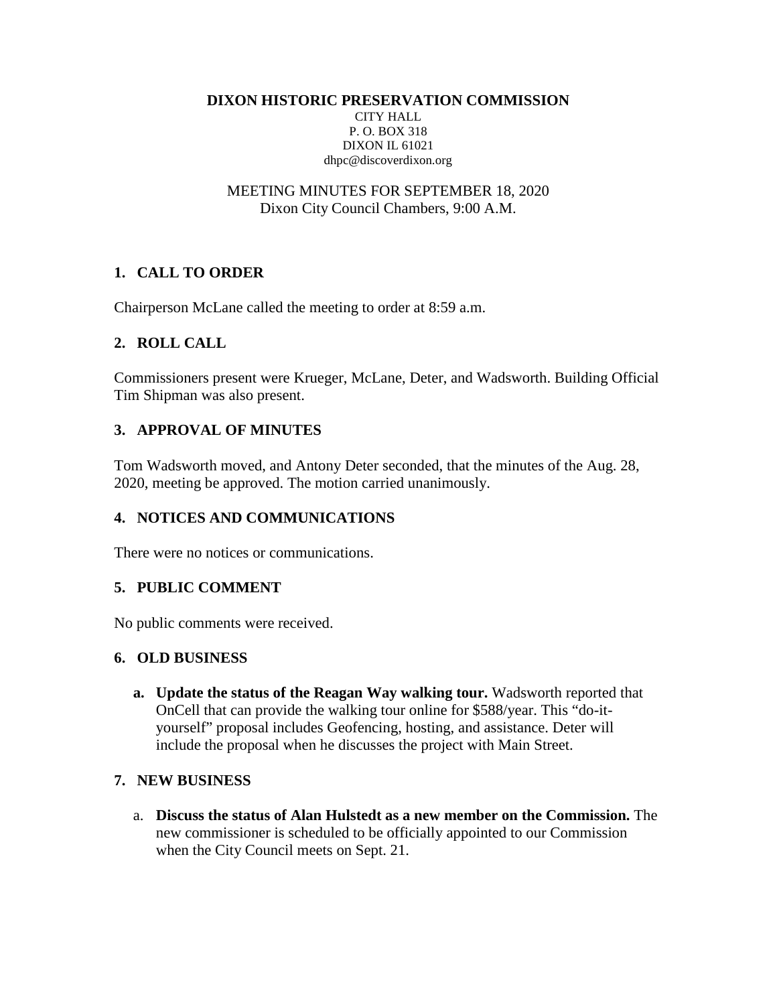**DIXON HISTORIC PRESERVATION COMMISSION**

CITY HALL P. O. BOX 318 DIXON IL 61021 dhpc@discoverdixon.org

MEETING MINUTES FOR SEPTEMBER 18, 2020 Dixon City Council Chambers, 9:00 A.M.

# **1. CALL TO ORDER**

Chairperson McLane called the meeting to order at 8:59 a.m.

### **2. ROLL CALL**

Commissioners present were Krueger, McLane, Deter, and Wadsworth. Building Official Tim Shipman was also present.

# **3. APPROVAL OF MINUTES**

Tom Wadsworth moved, and Antony Deter seconded, that the minutes of the Aug. 28, 2020, meeting be approved. The motion carried unanimously.

# **4. NOTICES AND COMMUNICATIONS**

There were no notices or communications.

### **5. PUBLIC COMMENT**

No public comments were received.

#### **6. OLD BUSINESS**

**a. Update the status of the Reagan Way walking tour.** Wadsworth reported that OnCell that can provide the walking tour online for \$588/year. This "do-ityourself" proposal includes Geofencing, hosting, and assistance. Deter will include the proposal when he discusses the project with Main Street.

### **7. NEW BUSINESS**

a. **Discuss the status of Alan Hulstedt as a new member on the Commission.** The new commissioner is scheduled to be officially appointed to our Commission when the City Council meets on Sept. 21.